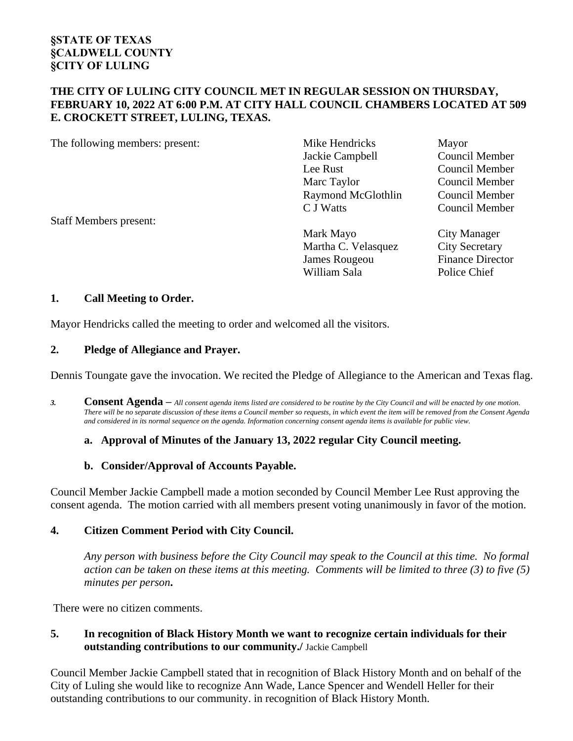### **THE CITY OF LULING CITY COUNCIL MET IN REGULAR SESSION ON THURSDAY, FEBRUARY 10, 2022 AT 6:00 P.M. AT CITY HALL COUNCIL CHAMBERS LOCATED AT 509 E. CROCKETT STREET, LULING, TEXAS.**

| The following members: present: | Mike Hendricks      | Mayor                   |
|---------------------------------|---------------------|-------------------------|
|                                 | Jackie Campbell     | Council Member          |
|                                 | Lee Rust            | Council Member          |
|                                 | Marc Taylor         | Council Member          |
|                                 | Raymond McGlothlin  | Council Member          |
|                                 | C J Watts           | Council Member          |
| <b>Staff Members present:</b>   |                     |                         |
|                                 | Mark Mayo           | City Manager            |
|                                 | Martha C. Velasquez | <b>City Secretary</b>   |
|                                 | James Rougeou       | <b>Finance Director</b> |
|                                 | William Sala        | Police Chief            |

### **1. Call Meeting to Order.**

Mayor Hendricks called the meeting to order and welcomed all the visitors.

### **2. Pledge of Allegiance and Prayer.**

Dennis Toungate gave the invocation. We recited the Pledge of Allegiance to the American and Texas flag.

*3.* **Consent Agenda –** *All consent agenda items listed are considered to be routine by the City Council and will be enacted by one motion. There will be no separate discussion of these items a Council member so requests, in which event the item will be removed from the Consent Agenda and considered in its normal sequence on the agenda. Information concerning consent agenda items is available for public view.*

### **a. Approval of Minutes of the January 13, 2022 regular City Council meeting.**

### **b. Consider/Approval of Accounts Payable.**

Council Member Jackie Campbell made a motion seconded by Council Member Lee Rust approving the consent agenda. The motion carried with all members present voting unanimously in favor of the motion.

### **4. Citizen Comment Period with City Council.**

*Any person with business before the City Council may speak to the Council at this time. No formal action can be taken on these items at this meeting. Comments will be limited to three (3) to five (5) minutes per person***.**

There were no citizen comments.

### **5. In recognition of Black History Month we want to recognize certain individuals for their outstanding contributions to our community./** Jackie Campbell

Council Member Jackie Campbell stated that in recognition of Black History Month and on behalf of the City of Luling she would like to recognize Ann Wade, Lance Spencer and Wendell Heller for their outstanding contributions to our community. in recognition of Black History Month.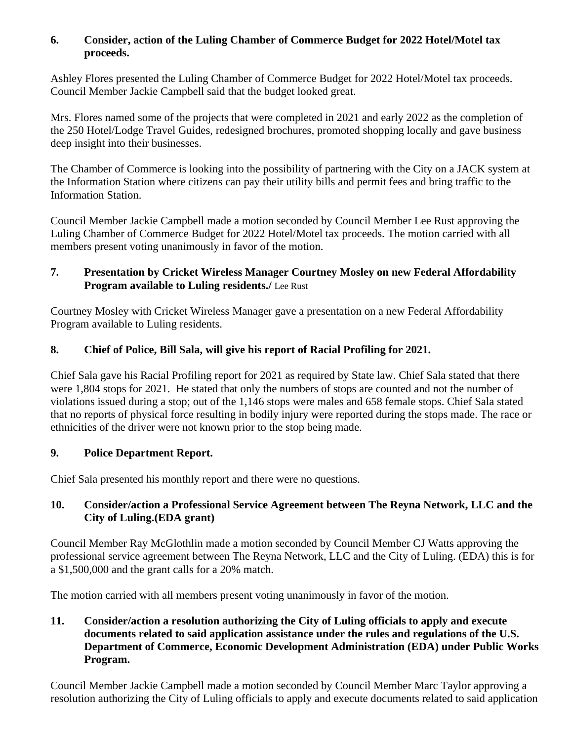## **6. Consider, action of the Luling Chamber of Commerce Budget for 2022 Hotel/Motel tax proceeds.**

Ashley Flores presented the Luling Chamber of Commerce Budget for 2022 Hotel/Motel tax proceeds. Council Member Jackie Campbell said that the budget looked great.

Mrs. Flores named some of the projects that were completed in 2021 and early 2022 as the completion of the 250 Hotel/Lodge Travel Guides, redesigned brochures, promoted shopping locally and gave business deep insight into their businesses.

The Chamber of Commerce is looking into the possibility of partnering with the City on a JACK system at the Information Station where citizens can pay their utility bills and permit fees and bring traffic to the Information Station.

Council Member Jackie Campbell made a motion seconded by Council Member Lee Rust approving the Luling Chamber of Commerce Budget for 2022 Hotel/Motel tax proceeds. The motion carried with all members present voting unanimously in favor of the motion.

# **7. Presentation by Cricket Wireless Manager Courtney Mosley on new Federal Affordability Program available to Luling residents./** Lee Rust

Courtney Mosley with Cricket Wireless Manager gave a presentation on a new Federal Affordability Program available to Luling residents.

# **8. Chief of Police, Bill Sala, will give his report of Racial Profiling for 2021.**

Chief Sala gave his Racial Profiling report for 2021 as required by State law. Chief Sala stated that there were 1,804 stops for 2021. He stated that only the numbers of stops are counted and not the number of violations issued during a stop; out of the 1,146 stops were males and 658 female stops. Chief Sala stated that no reports of physical force resulting in bodily injury were reported during the stops made. The race or ethnicities of the driver were not known prior to the stop being made.

# **9. Police Department Report.**

Chief Sala presented his monthly report and there were no questions.

## **10. Consider/action a Professional Service Agreement between The Reyna Network, LLC and the City of Luling.(EDA grant)**

Council Member Ray McGlothlin made a motion seconded by Council Member CJ Watts approving the professional service agreement between The Reyna Network, LLC and the City of Luling. (EDA) this is for a \$1,500,000 and the grant calls for a 20% match.

The motion carried with all members present voting unanimously in favor of the motion.

## **11. Consider/action a resolution authorizing the City of Luling officials to apply and execute documents related to said application assistance under the rules and regulations of the U.S. Department of Commerce, Economic Development Administration (EDA) under Public Works Program.**

Council Member Jackie Campbell made a motion seconded by Council Member Marc Taylor approving a resolution authorizing the City of Luling officials to apply and execute documents related to said application